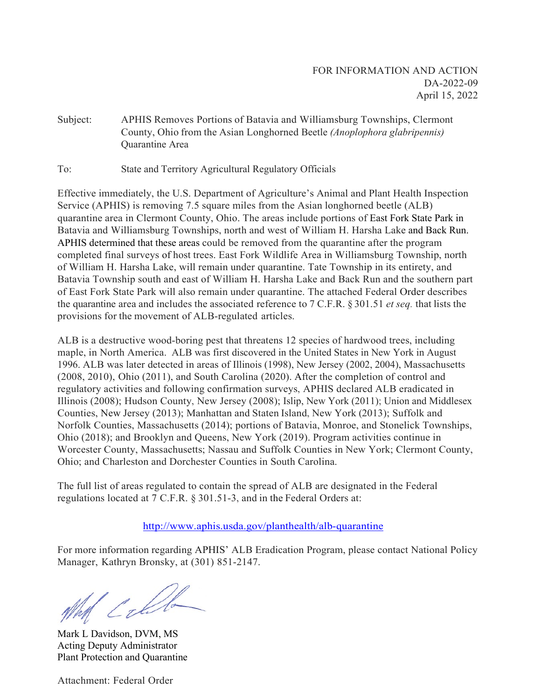Subject: APHIS Removes Portions of Batavia and Williamsburg Townships, Clermont County, Ohio from the Asian Longhorned Beetle *(Anoplophora glabripennis)*  **Ouarantine Area** 

To: State and Territory Agricultural Regulatory Officials

Effective immediately, the U.S. Department of Agriculture's Animal and Plant Health Inspection Service (APHIS) is removing 7.5 square miles from the Asian longhorned beetle (ALB) quarantine area in Clermont County, Ohio. The areas include portions of East Fork State Park in Batavia and Williamsburg Townships, north and west of William H. Harsha Lake and Back Run. APHIS determined that these areas could be removed from the quarantine after the program completed final surveys of host trees. East Fork Wildlife Area in Williamsburg Township, north of William H. Harsha Lake, will remain under quarantine. Tate Township in its entirety, and Batavia Township south and east of William H. Harsha Lake and Back Run and the southern part of East Fork State Park will also remain under quarantine. The attached Federal Order describes the quarantine area and includes the associated reference to 7 C.F.R. § 301.51 *et seq.* that lists the provisions for the movement of ALB-regulated articles.

ALB is a destructive wood-boring pest that threatens 12 species of hardwood trees, including maple, in North America. ALB was first discovered in the United States in New York in August 1996. ALB was later detected in areas of Illinois (1998), New Jersey (2002, 2004), Massachusetts (2008, 2010), Ohio (2011), and South Carolina (2020). After the completion of control and regulatory activities and following confirmation surveys, APHIS declared ALB eradicated in Illinois (2008); Hudson County, New Jersey (2008); Islip, New York (2011); Union and Middlesex Counties, New Jersey (2013); Manhattan and Staten Island, New York (2013); Suffolk and Norfolk Counties, Massachusetts (2014); portions of Batavia, Monroe, and Stonelick Townships, Ohio (2018); and Brooklyn and Queens, New York (2019). Program activities continue in Worcester County, Massachusetts; Nassau and Suffolk Counties in New York; Clermont County, Ohio; and Charleston and Dorchester Counties in South Carolina.

The full list of areas regulated to contain the spread of ALB are designated in the Federal regulations located at 7 C.F.R. § 301.51-3, and in the Federal Orders at:

#### <http://www.aphis.usda.gov/planthealth/alb-quarantine>

For more information regarding APHIS' ALB Eradication Program, please contact National Policy Manager, Kathryn Bronsky, at (301) 851-2147.

What Calle

Mark L Davidson, DVM, MS Acting Deputy Administrator Plant Protection and Quarantine

Attachment: Federal Order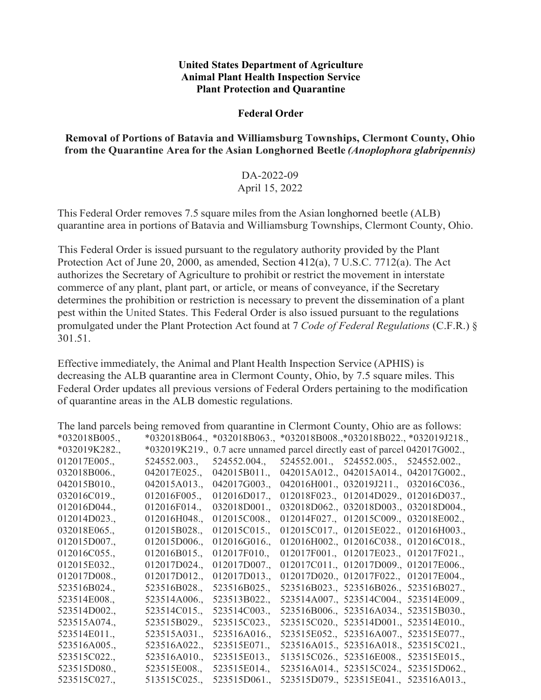#### **United States Department of Agriculture Animal Plant Health Inspection Service Plant Protection and Quarantine**

## **Federal Order**

## **Removal of Portions of Batavia and Williamsburg Townships, Clermont County, Ohio from the Quarantine Area for the Asian Longhorned Beetle** *(Anoplophora glabripennis)*

# DA-2022-09 April 15, 2022

This Federal Order removes 7.5 square miles from the Asian longhorned beetle (ALB) quarantine area in portions of Batavia and Williamsburg Townships, Clermont County, Ohio.

This Federal Order is issued pursuant to the regulatory authority provided by the Plant Protection Act of June 20, 2000, as amended, Section 412(a), 7 U.S.C. 7712(a). The Act authorizes the Secretary of Agriculture to prohibit or restrict the movement in interstate commerce of any plant, plant part, or article, or means of conveyance, if the Secretary determines the prohibition or restriction is necessary to prevent the dissemination of a plant pest within the United States. This Federal Order is also issued pursuant to the regulations promulgated under the Plant Protection Act found at 7 *Code of Federal Regulations* (C.F.R.) § 301.51.

Effective immediately, the Animal and Plant Health Inspection Service (APHIS) is decreasing the ALB quarantine area in Clermont County, Ohio, by 7.5 square miles. This Federal Order updates all previous versions of Federal Orders pertaining to the modification of quarantine areas in the ALB domestic regulations.

| The land parcels being removed from quarantine in Clermont County, Ohio are as follows: |              |                                                                                 |  |                                        |  |
|-----------------------------------------------------------------------------------------|--------------|---------------------------------------------------------------------------------|--|----------------------------------------|--|
| $*032018B005.$                                                                          |              | $*032018B064.,$ $*032018B063.,$ $*032018B008.,$ $*032018B022.,$ $*032019J218.,$ |  |                                        |  |
| *032019K282.,                                                                           |              | *032019K219., 0.7 acre unnamed parcel directly east of parcel 042017G002.,      |  |                                        |  |
| 012017E005.                                                                             | 524552.003., | 524552.004.,                                                                    |  | 524552.001., 524552.005., 524552.002., |  |
| 032018B006.,                                                                            | 042017E025., | 042015B011.,                                                                    |  | 042015A012., 042015A014., 042017G002., |  |
| 042015B010.,                                                                            | 042015A013.  | 042017G003.,                                                                    |  | 042016H001., 032019J211., 032016C036., |  |
| 032016C019.                                                                             | 012016F005.  | 012016D017.                                                                     |  | 012018F023., 012014D029., 012016D037., |  |
| 012016D044.,                                                                            | 012016F014., | 032018D001.,                                                                    |  | 032018D062., 032018D003., 032018D004., |  |
| 012014D023.,                                                                            | 012016H048., | 012015C008.                                                                     |  | 012014F027., 012015C009., 032018E002., |  |
| 032018E065.,                                                                            | 012015B028., | 012015C015.,                                                                    |  | 012015C017., 012015E022., 012016H003., |  |
| 012015D007.                                                                             | 012015D006.  | 012016G016.,                                                                    |  | 012016H002., 012016C038., 012016C018., |  |
| 012016C055.                                                                             | 012016B015.  | 012017F010.                                                                     |  | 012017F001., 012017E023., 012017F021., |  |
| 012015E032.                                                                             | 012017D024.  | 012017D007.,                                                                    |  | 012017C011., 012017D009., 012017E006., |  |
| 012017D008.,                                                                            | 012017D012.  | 012017D013.,                                                                    |  | 012017D020., 012017F022., 012017E004., |  |
| 523516B024.,                                                                            | 523516B028., | 523516B025.,                                                                    |  | 523516B023., 523516B026., 523516B027., |  |
| 523514E008.,                                                                            | 523514A006., | 523513B022.                                                                     |  | 523514A007., 523514C004., 523514E009., |  |
| 523514D002.,                                                                            | 523514C015.  | 523514C003.                                                                     |  | 523516B006., 523516A034., 523515B030., |  |
| 523515A074.,                                                                            | 523515B029., | 523515C023.,                                                                    |  | 523515C020., 523514D001., 523514E010., |  |
| 523514E011.                                                                             | 523515A031.  | 523516A016.                                                                     |  | 523515E052., 523516A007., 523515E077., |  |
| 523516A005.                                                                             | 523516A022., | 523515E071.                                                                     |  | 523516A015., 523516A018., 523515C021., |  |
| 523515C022.,                                                                            | 523516A010., | 523515E013.,                                                                    |  | 513515C026., 523516E008., 523515E015., |  |
| 523515D080.,                                                                            | 523515E008., | 523515E014.,                                                                    |  | 523516A014., 523515C024., 523515D062., |  |
| 523515C027.,                                                                            | 513515C025., | 523515D061.,                                                                    |  | 523515D079., 523515E041., 523516A013., |  |